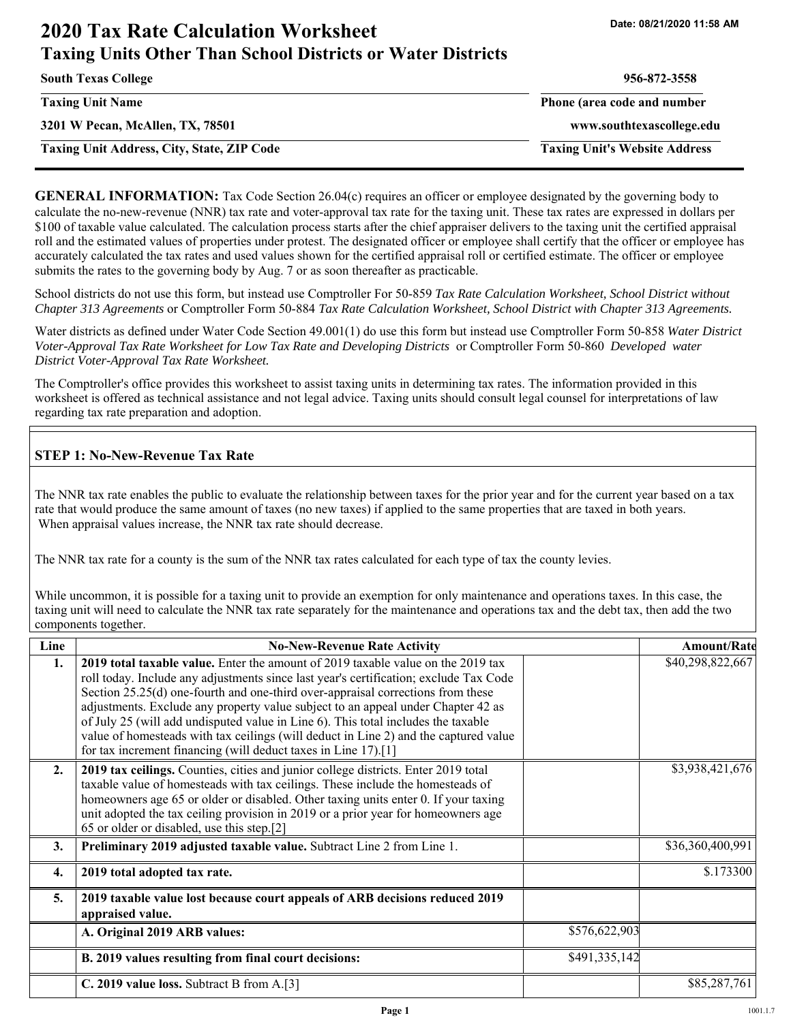## **2020 Tax Rate Calculation Worksheet Date: 08/21/2020 11:58 AM Taxing Units Other Than School Districts or Water Districts**

| <b>South Texas College</b>                        | 956-872-3558                         |
|---------------------------------------------------|--------------------------------------|
| <b>Taxing Unit Name</b>                           | Phone (area code and number          |
| 3201 W Pecan, McAllen, TX, 78501                  | www.southtexascollege.edu            |
| <b>Taxing Unit Address, City, State, ZIP Code</b> | <b>Taxing Unit's Website Address</b> |

**GENERAL INFORMATION:** Tax Code Section 26.04(c) requires an officer or employee designated by the governing body to calculate the no-new-revenue (NNR) tax rate and voter-approval tax rate for the taxing unit. These tax rates are expressed in dollars per \$100 of taxable value calculated. The calculation process starts after the chief appraiser delivers to the taxing unit the certified appraisal roll and the estimated values of properties under protest. The designated officer or employee shall certify that the officer or employee has accurately calculated the tax rates and used values shown for the certified appraisal roll or certified estimate. The officer or employee submits the rates to the governing body by Aug. 7 or as soon thereafter as practicable.

School districts do not use this form, but instead use Comptroller For 50-859 *Tax Rate Calculation Worksheet, School District without Chapter 313 Agreements* or Comptroller Form 50-884 *Tax Rate Calculation Worksheet, School District with Chapter 313 Agreements.* 

Water districts as defined under Water Code Section 49.001(1) do use this form but instead use Comptroller Form 50-858 *Water District Voter-Approval Tax Rate Worksheet for Low Tax Rate and Developing Districts* or Comptroller Form 50-860 *Developed water District Voter-Approval Tax Rate Worksheet.* 

The Comptroller's office provides this worksheet to assist taxing units in determining tax rates. The information provided in this worksheet is offered as technical assistance and not legal advice. Taxing units should consult legal counsel for interpretations of law regarding tax rate preparation and adoption.

#### **STEP 1: No-New-Revenue Tax Rate**

The NNR tax rate enables the public to evaluate the relationship between taxes for the prior year and for the current year based on a tax rate that would produce the same amount of taxes (no new taxes) if applied to the same properties that are taxed in both years. When appraisal values increase, the NNR tax rate should decrease.

The NNR tax rate for a county is the sum of the NNR tax rates calculated for each type of tax the county levies.

While uncommon, it is possible for a taxing unit to provide an exemption for only maintenance and operations taxes. In this case, the taxing unit will need to calculate the NNR tax rate separately for the maintenance and operations tax and the debt tax, then add the two components together.

| Line | <b>No-New-Revenue Rate Activity</b>                                                                                                                                                                                                                                                                                                                                                                                                                                                                                                                                                             |               | <b>Amount/Rate</b> |
|------|-------------------------------------------------------------------------------------------------------------------------------------------------------------------------------------------------------------------------------------------------------------------------------------------------------------------------------------------------------------------------------------------------------------------------------------------------------------------------------------------------------------------------------------------------------------------------------------------------|---------------|--------------------|
| 1.   | 2019 total taxable value. Enter the amount of 2019 taxable value on the 2019 tax<br>roll today. Include any adjustments since last year's certification; exclude Tax Code<br>Section 25.25(d) one-fourth and one-third over-appraisal corrections from these<br>adjustments. Exclude any property value subject to an appeal under Chapter 42 as<br>of July 25 (will add undisputed value in Line 6). This total includes the taxable<br>value of homesteads with tax ceilings (will deduct in Line 2) and the captured value<br>for tax increment financing (will deduct taxes in Line 17).[1] |               | \$40,298,822,667   |
| 2.   | 2019 tax ceilings. Counties, cities and junior college districts. Enter 2019 total<br>taxable value of homesteads with tax ceilings. These include the homesteads of<br>homeowners age 65 or older or disabled. Other taxing units enter 0. If your taxing<br>unit adopted the tax ceiling provision in 2019 or a prior year for homeowners age<br>65 or older or disabled, use this step.[2]                                                                                                                                                                                                   |               | \$3,938,421,676    |
| 3.   | Preliminary 2019 adjusted taxable value. Subtract Line 2 from Line 1.                                                                                                                                                                                                                                                                                                                                                                                                                                                                                                                           |               | \$36,360,400,991   |
| 4.   | 2019 total adopted tax rate.                                                                                                                                                                                                                                                                                                                                                                                                                                                                                                                                                                    |               | \$.173300          |
| 5.   | 2019 taxable value lost because court appeals of ARB decisions reduced 2019<br>appraised value.                                                                                                                                                                                                                                                                                                                                                                                                                                                                                                 |               |                    |
|      | A. Original 2019 ARB values:                                                                                                                                                                                                                                                                                                                                                                                                                                                                                                                                                                    | \$576,622,903 |                    |
|      | B. 2019 values resulting from final court decisions:                                                                                                                                                                                                                                                                                                                                                                                                                                                                                                                                            | \$491,335,142 |                    |
|      | C. 2019 value loss. Subtract B from A.[3]                                                                                                                                                                                                                                                                                                                                                                                                                                                                                                                                                       |               | \$85,287,761       |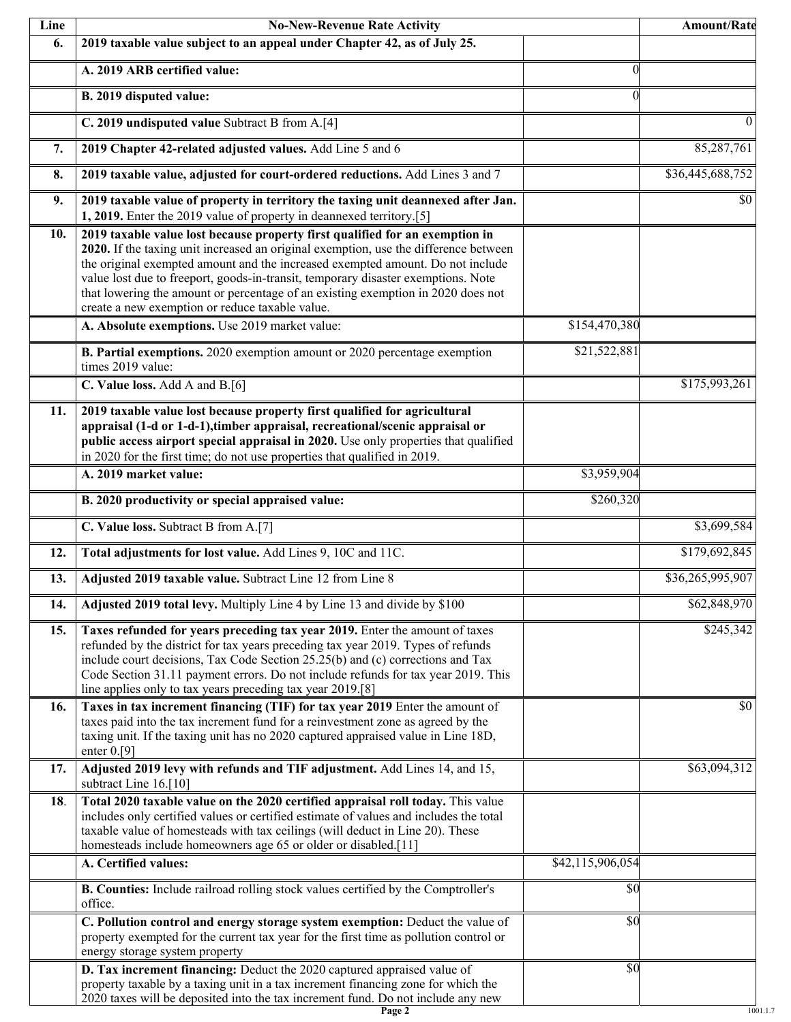| Line | <b>No-New-Revenue Rate Activity</b>                                                                                                                                                                                                                                                                                                                                                                                                                                                |                  | Amount/Rate                  |
|------|------------------------------------------------------------------------------------------------------------------------------------------------------------------------------------------------------------------------------------------------------------------------------------------------------------------------------------------------------------------------------------------------------------------------------------------------------------------------------------|------------------|------------------------------|
| 6.   | 2019 taxable value subject to an appeal under Chapter 42, as of July 25.                                                                                                                                                                                                                                                                                                                                                                                                           |                  |                              |
|      | A. 2019 ARB certified value:                                                                                                                                                                                                                                                                                                                                                                                                                                                       | $\theta$         |                              |
|      | B. 2019 disputed value:                                                                                                                                                                                                                                                                                                                                                                                                                                                            | $\Omega$         |                              |
|      | C. 2019 undisputed value Subtract B from A.[4]                                                                                                                                                                                                                                                                                                                                                                                                                                     |                  | $\Omega$                     |
| 7.   | 2019 Chapter 42-related adjusted values. Add Line 5 and 6                                                                                                                                                                                                                                                                                                                                                                                                                          |                  | 85,287,761                   |
| 8.   | 2019 taxable value, adjusted for court-ordered reductions. Add Lines 3 and 7                                                                                                                                                                                                                                                                                                                                                                                                       |                  | \$36,445,688,752             |
| 9.   | 2019 taxable value of property in territory the taxing unit deannexed after Jan.<br>1, 2019. Enter the 2019 value of property in deannexed territory.[5]                                                                                                                                                                                                                                                                                                                           |                  | \$0                          |
| 10.  | 2019 taxable value lost because property first qualified for an exemption in<br>2020. If the taxing unit increased an original exemption, use the difference between<br>the original exempted amount and the increased exempted amount. Do not include<br>value lost due to freeport, goods-in-transit, temporary disaster exemptions. Note<br>that lowering the amount or percentage of an existing exemption in 2020 does not<br>create a new exemption or reduce taxable value. |                  |                              |
|      | A. Absolute exemptions. Use 2019 market value:                                                                                                                                                                                                                                                                                                                                                                                                                                     | \$154,470,380    |                              |
|      | B. Partial exemptions. 2020 exemption amount or 2020 percentage exemption<br>times 2019 value:                                                                                                                                                                                                                                                                                                                                                                                     | \$21,522,881     |                              |
|      | C. Value loss. Add A and B.[6]                                                                                                                                                                                                                                                                                                                                                                                                                                                     |                  | \$175,993,261                |
| 11.  | 2019 taxable value lost because property first qualified for agricultural<br>appraisal (1-d or 1-d-1), timber appraisal, recreational/scenic appraisal or<br>public access airport special appraisal in 2020. Use only properties that qualified<br>in 2020 for the first time; do not use properties that qualified in 2019.                                                                                                                                                      |                  |                              |
|      | A. 2019 market value:                                                                                                                                                                                                                                                                                                                                                                                                                                                              | \$3,959,904      |                              |
|      | B. 2020 productivity or special appraised value:                                                                                                                                                                                                                                                                                                                                                                                                                                   | \$260,320        |                              |
|      | C. Value loss. Subtract B from A.[7]                                                                                                                                                                                                                                                                                                                                                                                                                                               |                  | \$3,699,584                  |
| 12.  | Total adjustments for lost value. Add Lines 9, 10C and 11C.                                                                                                                                                                                                                                                                                                                                                                                                                        |                  | \$179,692,845                |
| 13.  | Adjusted 2019 taxable value. Subtract Line 12 from Line 8                                                                                                                                                                                                                                                                                                                                                                                                                          |                  | $\overline{$36,265,995,907}$ |
| 14.  | Adjusted 2019 total levy. Multiply Line 4 by Line 13 and divide by \$100                                                                                                                                                                                                                                                                                                                                                                                                           |                  | \$62,848,970                 |
| 15.  | Taxes refunded for years preceding tax year 2019. Enter the amount of taxes<br>refunded by the district for tax years preceding tax year 2019. Types of refunds<br>include court decisions, Tax Code Section 25.25(b) and (c) corrections and Tax<br>Code Section 31.11 payment errors. Do not include refunds for tax year 2019. This<br>line applies only to tax years preceding tax year 2019.[8]                                                                               |                  | \$245,342                    |
| 16.  | Taxes in tax increment financing (TIF) for tax year 2019 Enter the amount of<br>taxes paid into the tax increment fund for a reinvestment zone as agreed by the<br>taxing unit. If the taxing unit has no 2020 captured appraised value in Line 18D,<br>enter $0.[9]$                                                                                                                                                                                                              |                  | \$0                          |
| 17.  | Adjusted 2019 levy with refunds and TIF adjustment. Add Lines 14, and 15,<br>subtract Line 16.[10]                                                                                                                                                                                                                                                                                                                                                                                 |                  | \$63,094,312                 |
| 18.  | Total 2020 taxable value on the 2020 certified appraisal roll today. This value<br>includes only certified values or certified estimate of values and includes the total<br>taxable value of homesteads with tax ceilings (will deduct in Line 20). These<br>homesteads include homeowners age 65 or older or disabled.[11]                                                                                                                                                        |                  |                              |
|      | A. Certified values:                                                                                                                                                                                                                                                                                                                                                                                                                                                               | \$42,115,906,054 |                              |
|      | B. Counties: Include railroad rolling stock values certified by the Comptroller's<br>office.                                                                                                                                                                                                                                                                                                                                                                                       | \$0              |                              |
|      | C. Pollution control and energy storage system exemption: Deduct the value of<br>property exempted for the current tax year for the first time as pollution control or<br>energy storage system property                                                                                                                                                                                                                                                                           | \$0              |                              |
|      | D. Tax increment financing: Deduct the 2020 captured appraised value of<br>property taxable by a taxing unit in a tax increment financing zone for which the<br>2020 taxes will be deposited into the tax increment fund. Do not include any new                                                                                                                                                                                                                                   | $\overline{50}$  |                              |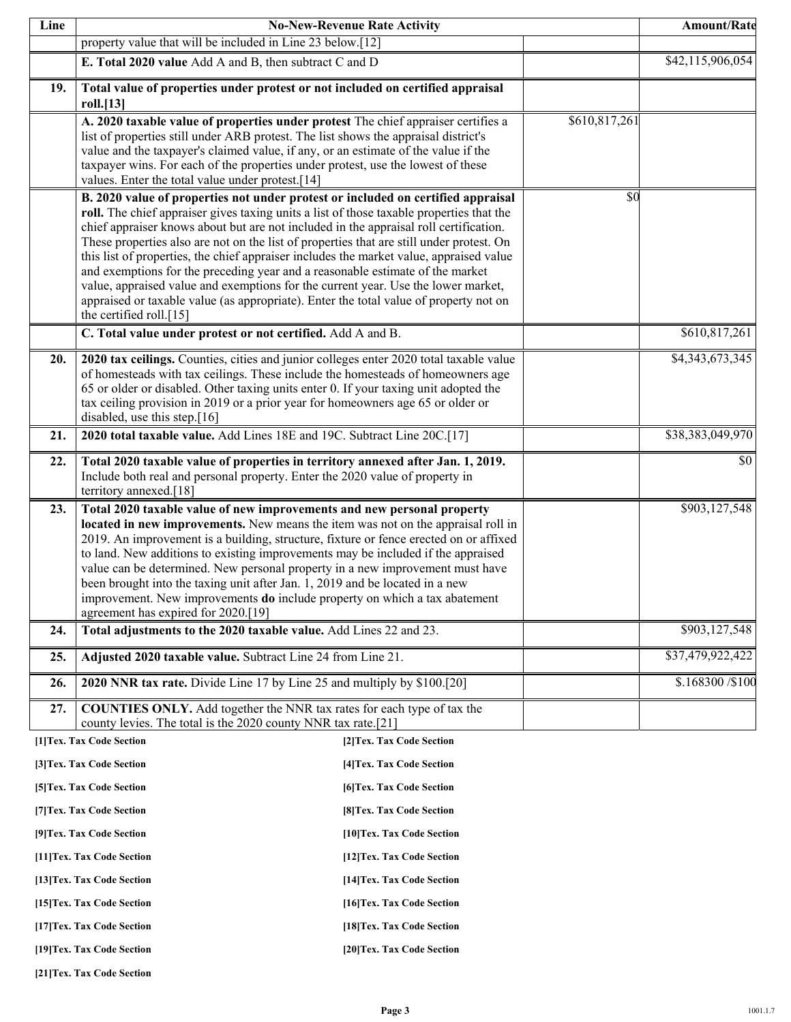| Line |                                                                                                                                                                                   | <b>No-New-Revenue Rate Activity</b> |               | Amount/Rate       |
|------|-----------------------------------------------------------------------------------------------------------------------------------------------------------------------------------|-------------------------------------|---------------|-------------------|
|      | property value that will be included in Line 23 below.[12]                                                                                                                        |                                     |               |                   |
|      | E. Total 2020 value Add A and B, then subtract C and D                                                                                                                            |                                     |               | \$42,115,906,054  |
| 19.  | Total value of properties under protest or not included on certified appraisal                                                                                                    |                                     |               |                   |
|      | roll.[13]<br>A. 2020 taxable value of properties under protest The chief appraiser certifies a                                                                                    |                                     | \$610,817,261 |                   |
|      | list of properties still under ARB protest. The list shows the appraisal district's                                                                                               |                                     |               |                   |
|      | value and the taxpayer's claimed value, if any, or an estimate of the value if the                                                                                                |                                     |               |                   |
|      | taxpayer wins. For each of the properties under protest, use the lowest of these<br>values. Enter the total value under protest.[14]                                              |                                     |               |                   |
|      | B. 2020 value of properties not under protest or included on certified appraisal                                                                                                  |                                     | \$0           |                   |
|      | roll. The chief appraiser gives taxing units a list of those taxable properties that the                                                                                          |                                     |               |                   |
|      | chief appraiser knows about but are not included in the appraisal roll certification.<br>These properties also are not on the list of properties that are still under protest. On |                                     |               |                   |
|      | this list of properties, the chief appraiser includes the market value, appraised value                                                                                           |                                     |               |                   |
|      | and exemptions for the preceding year and a reasonable estimate of the market                                                                                                     |                                     |               |                   |
|      | value, appraised value and exemptions for the current year. Use the lower market,                                                                                                 |                                     |               |                   |
|      | appraised or taxable value (as appropriate). Enter the total value of property not on<br>the certified roll.[15]                                                                  |                                     |               |                   |
|      | C. Total value under protest or not certified. Add A and B.                                                                                                                       |                                     |               | \$610,817,261     |
|      |                                                                                                                                                                                   |                                     |               |                   |
| 20.  | 2020 tax ceilings. Counties, cities and junior colleges enter 2020 total taxable value<br>of homesteads with tax ceilings. These include the homesteads of homeowners age         |                                     |               | \$4,343,673,345   |
|      | 65 or older or disabled. Other taxing units enter 0. If your taxing unit adopted the                                                                                              |                                     |               |                   |
|      | tax ceiling provision in 2019 or a prior year for homeowners age 65 or older or                                                                                                   |                                     |               |                   |
|      | disabled, use this step.[16]                                                                                                                                                      |                                     |               |                   |
| 21.  | 2020 total taxable value. Add Lines 18E and 19C. Subtract Line 20C.[17]                                                                                                           |                                     |               | \$38,383,049,970  |
| 22.  | Total 2020 taxable value of properties in territory annexed after Jan. 1, 2019.                                                                                                   |                                     |               | \$0               |
|      | Include both real and personal property. Enter the 2020 value of property in<br>territory annexed.[18]                                                                            |                                     |               |                   |
| 23.  | Total 2020 taxable value of new improvements and new personal property                                                                                                            |                                     |               | \$903,127,548     |
|      | located in new improvements. New means the item was not on the appraisal roll in                                                                                                  |                                     |               |                   |
|      | 2019. An improvement is a building, structure, fixture or fence erected on or affixed                                                                                             |                                     |               |                   |
|      | to land. New additions to existing improvements may be included if the appraised<br>value can be determined. New personal property in a new improvement must have                 |                                     |               |                   |
|      | been brought into the taxing unit after Jan. 1, 2019 and be located in a new                                                                                                      |                                     |               |                   |
|      | improvement. New improvements <b>do</b> include property on which a tax abatement                                                                                                 |                                     |               |                   |
|      | agreement has expired for 2020.[19]                                                                                                                                               |                                     |               |                   |
| 24.  | Total adjustments to the 2020 taxable value. Add Lines 22 and 23.                                                                                                                 |                                     |               | \$903,127,548     |
| 25.  | Adjusted 2020 taxable value. Subtract Line 24 from Line 21.                                                                                                                       |                                     |               | \$37,479,922,422  |
| 26.  | 2020 NNR tax rate. Divide Line 17 by Line 25 and multiply by \$100.[20]                                                                                                           |                                     |               | \$.168300 / \$100 |
| 27.  | <b>COUNTIES ONLY.</b> Add together the NNR tax rates for each type of tax the                                                                                                     |                                     |               |                   |
|      | county levies. The total is the 2020 county NNR tax rate.[21]                                                                                                                     |                                     |               |                   |
|      | [1] Tex. Tax Code Section                                                                                                                                                         | [2] Tex. Tax Code Section           |               |                   |
|      | [3] Tex. Tax Code Section                                                                                                                                                         | [4] Tex. Tax Code Section           |               |                   |
|      | [5] Tex. Tax Code Section                                                                                                                                                         | [6] Tex. Tax Code Section           |               |                   |
|      | [7] Tex. Tax Code Section                                                                                                                                                         | [8] Tex. Tax Code Section           |               |                   |
|      | [9] Tex. Tax Code Section                                                                                                                                                         | [10] Tex. Tax Code Section          |               |                   |
|      | [11] Tex. Tax Code Section                                                                                                                                                        | [12] Tex. Tax Code Section          |               |                   |
|      | [13] Tex. Tax Code Section                                                                                                                                                        | [14] Tex. Tax Code Section          |               |                   |
|      | [15] Tex. Tax Code Section                                                                                                                                                        | [16] Tex. Tax Code Section          |               |                   |
|      | [17] Tex. Tax Code Section                                                                                                                                                        | [18] Tex. Tax Code Section          |               |                   |
|      | [19] Tex. Tax Code Section                                                                                                                                                        | [20] Tex. Tax Code Section          |               |                   |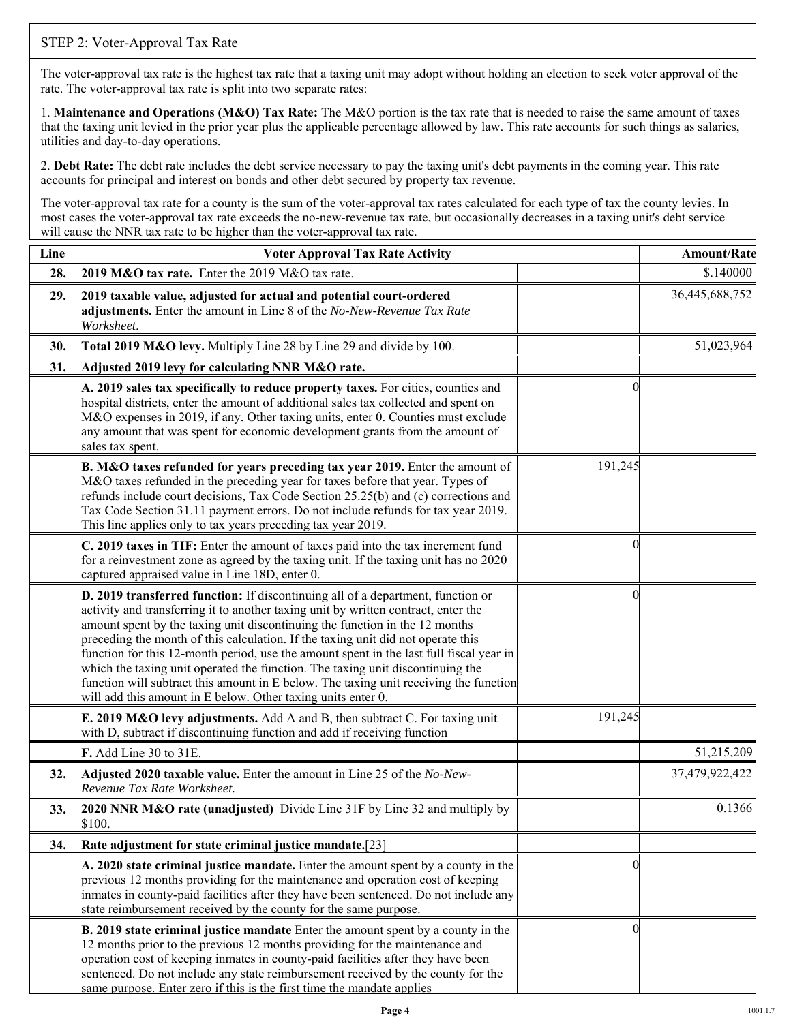### STEP 2: Voter-Approval Tax Rate

The voter-approval tax rate is the highest tax rate that a taxing unit may adopt without holding an election to seek voter approval of the rate. The voter-approval tax rate is split into two separate rates:

1. **Maintenance and Operations (M&O) Tax Rate:** The M&O portion is the tax rate that is needed to raise the same amount of taxes that the taxing unit levied in the prior year plus the applicable percentage allowed by law. This rate accounts for such things as salaries, utilities and day-to-day operations.

2. **Debt Rate:** The debt rate includes the debt service necessary to pay the taxing unit's debt payments in the coming year. This rate accounts for principal and interest on bonds and other debt secured by property tax revenue.

The voter-approval tax rate for a county is the sum of the voter-approval tax rates calculated for each type of tax the county levies. In most cases the voter-approval tax rate exceeds the no-new-revenue tax rate, but occasionally decreases in a taxing unit's debt service will cause the NNR tax rate to be higher than the voter-approval tax rate.

| Line | <b>Voter Approval Tax Rate Activity</b>                                                                                                                                                                                                                                                                                                                                                                                                                                                                                                                                                                                                                                        |         | <b>Amount/Rate</b> |
|------|--------------------------------------------------------------------------------------------------------------------------------------------------------------------------------------------------------------------------------------------------------------------------------------------------------------------------------------------------------------------------------------------------------------------------------------------------------------------------------------------------------------------------------------------------------------------------------------------------------------------------------------------------------------------------------|---------|--------------------|
| 28.  | 2019 M&O tax rate. Enter the 2019 M&O tax rate.                                                                                                                                                                                                                                                                                                                                                                                                                                                                                                                                                                                                                                |         | \$.140000          |
| 29.  | 2019 taxable value, adjusted for actual and potential court-ordered<br>adjustments. Enter the amount in Line 8 of the No-New-Revenue Tax Rate<br>Worksheet.                                                                                                                                                                                                                                                                                                                                                                                                                                                                                                                    |         | 36,445,688,752     |
| 30.  | Total 2019 M&O levy. Multiply Line 28 by Line 29 and divide by 100.                                                                                                                                                                                                                                                                                                                                                                                                                                                                                                                                                                                                            |         | 51,023,964         |
| 31.  | Adjusted 2019 levy for calculating NNR M&O rate.                                                                                                                                                                                                                                                                                                                                                                                                                                                                                                                                                                                                                               |         |                    |
|      | A. 2019 sales tax specifically to reduce property taxes. For cities, counties and<br>hospital districts, enter the amount of additional sales tax collected and spent on<br>M&O expenses in 2019, if any. Other taxing units, enter 0. Counties must exclude<br>any amount that was spent for economic development grants from the amount of<br>sales tax spent.                                                                                                                                                                                                                                                                                                               |         |                    |
|      | B. M&O taxes refunded for years preceding tax year 2019. Enter the amount of<br>M&O taxes refunded in the preceding year for taxes before that year. Types of<br>refunds include court decisions, Tax Code Section 25.25(b) and (c) corrections and<br>Tax Code Section 31.11 payment errors. Do not include refunds for tax year 2019.<br>This line applies only to tax years preceding tax year 2019.                                                                                                                                                                                                                                                                        | 191,245 |                    |
|      | C. 2019 taxes in TIF: Enter the amount of taxes paid into the tax increment fund<br>for a reinvestment zone as agreed by the taxing unit. If the taxing unit has no 2020<br>captured appraised value in Line 18D, enter 0.                                                                                                                                                                                                                                                                                                                                                                                                                                                     |         |                    |
|      | D. 2019 transferred function: If discontinuing all of a department, function or<br>activity and transferring it to another taxing unit by written contract, enter the<br>amount spent by the taxing unit discontinuing the function in the 12 months<br>preceding the month of this calculation. If the taxing unit did not operate this<br>function for this 12-month period, use the amount spent in the last full fiscal year in<br>which the taxing unit operated the function. The taxing unit discontinuing the<br>function will subtract this amount in E below. The taxing unit receiving the function<br>will add this amount in E below. Other taxing units enter 0. |         |                    |
|      | E. 2019 M&O levy adjustments. Add A and B, then subtract C. For taxing unit<br>with D, subtract if discontinuing function and add if receiving function                                                                                                                                                                                                                                                                                                                                                                                                                                                                                                                        | 191,245 |                    |
|      | F. Add Line 30 to 31E.                                                                                                                                                                                                                                                                                                                                                                                                                                                                                                                                                                                                                                                         |         | 51,215,209         |
| 32.  | Adjusted 2020 taxable value. Enter the amount in Line 25 of the No-New-<br>Revenue Tax Rate Worksheet.                                                                                                                                                                                                                                                                                                                                                                                                                                                                                                                                                                         |         | 37,479,922,422     |
| 33.  | 2020 NNR M&O rate (unadjusted) Divide Line 31F by Line 32 and multiply by<br>\$100.                                                                                                                                                                                                                                                                                                                                                                                                                                                                                                                                                                                            |         | 0.1366             |
| 34.  | Rate adjustment for state criminal justice mandate.[23]                                                                                                                                                                                                                                                                                                                                                                                                                                                                                                                                                                                                                        |         |                    |
|      | A. 2020 state criminal justice mandate. Enter the amount spent by a county in the<br>previous 12 months providing for the maintenance and operation cost of keeping<br>inmates in county-paid facilities after they have been sentenced. Do not include any<br>state reimbursement received by the county for the same purpose.                                                                                                                                                                                                                                                                                                                                                |         |                    |
|      | <b>B. 2019 state criminal justice mandate</b> Enter the amount spent by a county in the<br>12 months prior to the previous 12 months providing for the maintenance and<br>operation cost of keeping inmates in county-paid facilities after they have been<br>sentenced. Do not include any state reimbursement received by the county for the<br>same purpose. Enter zero if this is the first time the mandate applies                                                                                                                                                                                                                                                       |         |                    |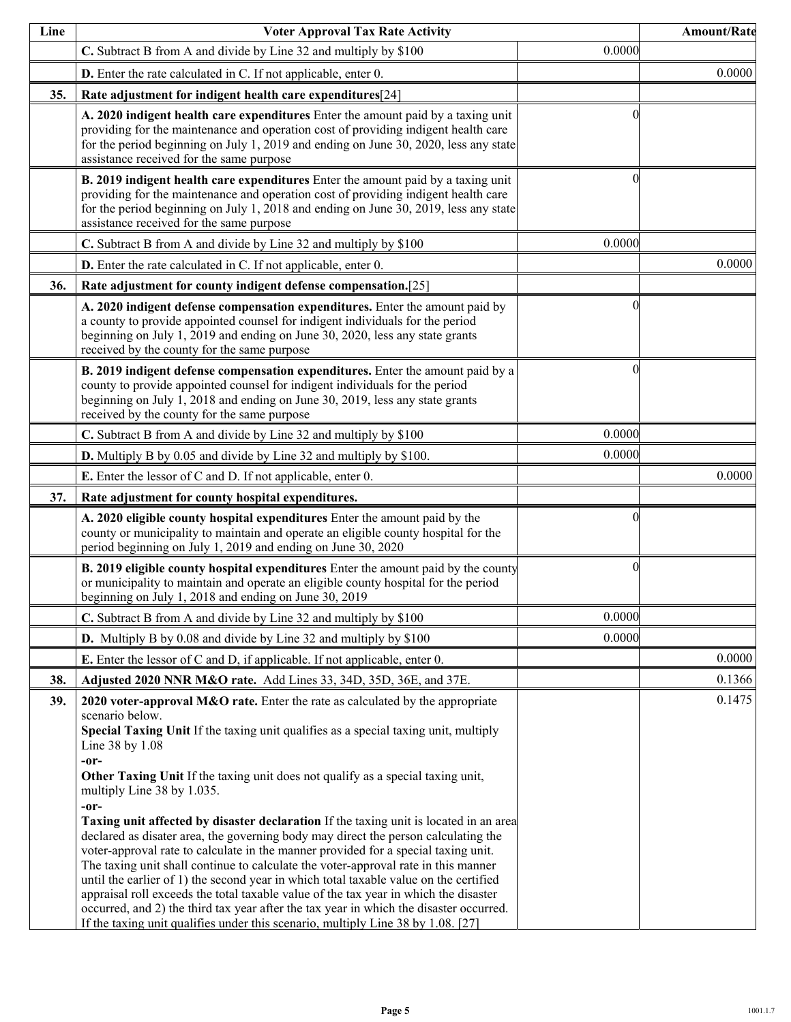| Line | <b>Voter Approval Tax Rate Activity</b>                                                                                                                                                                                                                                                                                                                                                                                                                                                                                                                                                                                                                                                                                                                                                                                                                                                                                                                                                                                                                                 |          | <b>Amount/Rate</b> |
|------|-------------------------------------------------------------------------------------------------------------------------------------------------------------------------------------------------------------------------------------------------------------------------------------------------------------------------------------------------------------------------------------------------------------------------------------------------------------------------------------------------------------------------------------------------------------------------------------------------------------------------------------------------------------------------------------------------------------------------------------------------------------------------------------------------------------------------------------------------------------------------------------------------------------------------------------------------------------------------------------------------------------------------------------------------------------------------|----------|--------------------|
|      | C. Subtract B from A and divide by Line 32 and multiply by \$100                                                                                                                                                                                                                                                                                                                                                                                                                                                                                                                                                                                                                                                                                                                                                                                                                                                                                                                                                                                                        | 0.0000   |                    |
|      | D. Enter the rate calculated in C. If not applicable, enter 0.                                                                                                                                                                                                                                                                                                                                                                                                                                                                                                                                                                                                                                                                                                                                                                                                                                                                                                                                                                                                          |          | 0.0000             |
| 35.  | Rate adjustment for indigent health care expenditures[24]                                                                                                                                                                                                                                                                                                                                                                                                                                                                                                                                                                                                                                                                                                                                                                                                                                                                                                                                                                                                               |          |                    |
|      | A. 2020 indigent health care expenditures Enter the amount paid by a taxing unit<br>providing for the maintenance and operation cost of providing indigent health care<br>for the period beginning on July 1, 2019 and ending on June 30, 2020, less any state<br>assistance received for the same purpose                                                                                                                                                                                                                                                                                                                                                                                                                                                                                                                                                                                                                                                                                                                                                              |          |                    |
|      | B. 2019 indigent health care expenditures Enter the amount paid by a taxing unit<br>providing for the maintenance and operation cost of providing indigent health care<br>for the period beginning on July 1, 2018 and ending on June 30, 2019, less any state<br>assistance received for the same purpose                                                                                                                                                                                                                                                                                                                                                                                                                                                                                                                                                                                                                                                                                                                                                              |          |                    |
|      | C. Subtract B from A and divide by Line 32 and multiply by \$100                                                                                                                                                                                                                                                                                                                                                                                                                                                                                                                                                                                                                                                                                                                                                                                                                                                                                                                                                                                                        | 0.0000   |                    |
|      | D. Enter the rate calculated in C. If not applicable, enter 0.                                                                                                                                                                                                                                                                                                                                                                                                                                                                                                                                                                                                                                                                                                                                                                                                                                                                                                                                                                                                          |          | 0.0000             |
| 36.  | Rate adjustment for county indigent defense compensation.[25]                                                                                                                                                                                                                                                                                                                                                                                                                                                                                                                                                                                                                                                                                                                                                                                                                                                                                                                                                                                                           |          |                    |
|      | A. 2020 indigent defense compensation expenditures. Enter the amount paid by<br>a county to provide appointed counsel for indigent individuals for the period<br>beginning on July 1, 2019 and ending on June 30, 2020, less any state grants<br>received by the county for the same purpose                                                                                                                                                                                                                                                                                                                                                                                                                                                                                                                                                                                                                                                                                                                                                                            |          |                    |
|      | B. 2019 indigent defense compensation expenditures. Enter the amount paid by a<br>county to provide appointed counsel for indigent individuals for the period<br>beginning on July 1, 2018 and ending on June 30, 2019, less any state grants<br>received by the county for the same purpose                                                                                                                                                                                                                                                                                                                                                                                                                                                                                                                                                                                                                                                                                                                                                                            |          |                    |
|      | C. Subtract B from A and divide by Line 32 and multiply by \$100                                                                                                                                                                                                                                                                                                                                                                                                                                                                                                                                                                                                                                                                                                                                                                                                                                                                                                                                                                                                        | 0.0000   |                    |
|      | <b>D.</b> Multiply B by 0.05 and divide by Line 32 and multiply by \$100.                                                                                                                                                                                                                                                                                                                                                                                                                                                                                                                                                                                                                                                                                                                                                                                                                                                                                                                                                                                               | 0.0000   |                    |
|      | <b>E.</b> Enter the lessor of C and D. If not applicable, enter 0.                                                                                                                                                                                                                                                                                                                                                                                                                                                                                                                                                                                                                                                                                                                                                                                                                                                                                                                                                                                                      |          | 0.0000             |
| 37.  | Rate adjustment for county hospital expenditures.                                                                                                                                                                                                                                                                                                                                                                                                                                                                                                                                                                                                                                                                                                                                                                                                                                                                                                                                                                                                                       |          |                    |
|      | A. 2020 eligible county hospital expenditures Enter the amount paid by the<br>county or municipality to maintain and operate an eligible county hospital for the<br>period beginning on July 1, 2019 and ending on June 30, 2020                                                                                                                                                                                                                                                                                                                                                                                                                                                                                                                                                                                                                                                                                                                                                                                                                                        |          |                    |
|      | B. 2019 eligible county hospital expenditures Enter the amount paid by the county<br>or municipality to maintain and operate an eligible county hospital for the period<br>beginning on July 1, 2018 and ending on June 30, 2019                                                                                                                                                                                                                                                                                                                                                                                                                                                                                                                                                                                                                                                                                                                                                                                                                                        | $\Omega$ |                    |
|      | C. Subtract B from A and divide by Line 32 and multiply by \$100                                                                                                                                                                                                                                                                                                                                                                                                                                                                                                                                                                                                                                                                                                                                                                                                                                                                                                                                                                                                        | 0.0000   |                    |
|      | <b>D.</b> Multiply B by 0.08 and divide by Line 32 and multiply by \$100                                                                                                                                                                                                                                                                                                                                                                                                                                                                                                                                                                                                                                                                                                                                                                                                                                                                                                                                                                                                | 0.0000   |                    |
|      | <b>E.</b> Enter the lessor of C and D, if applicable. If not applicable, enter 0.                                                                                                                                                                                                                                                                                                                                                                                                                                                                                                                                                                                                                                                                                                                                                                                                                                                                                                                                                                                       |          | 0.0000             |
| 38.  | Adjusted 2020 NNR M&O rate. Add Lines 33, 34D, 35D, 36E, and 37E.                                                                                                                                                                                                                                                                                                                                                                                                                                                                                                                                                                                                                                                                                                                                                                                                                                                                                                                                                                                                       |          | 0.1366             |
| 39.  | 2020 voter-approval M&O rate. Enter the rate as calculated by the appropriate<br>scenario below.<br>Special Taxing Unit If the taxing unit qualifies as a special taxing unit, multiply<br>Line 38 by 1.08<br>-or-<br>Other Taxing Unit If the taxing unit does not qualify as a special taxing unit,<br>multiply Line 38 by 1.035.<br>$-0r-$<br>Taxing unit affected by disaster declaration If the taxing unit is located in an area<br>declared as disater area, the governing body may direct the person calculating the<br>voter-approval rate to calculate in the manner provided for a special taxing unit.<br>The taxing unit shall continue to calculate the voter-approval rate in this manner<br>until the earlier of 1) the second year in which total taxable value on the certified<br>appraisal roll exceeds the total taxable value of the tax year in which the disaster<br>occurred, and 2) the third tax year after the tax year in which the disaster occurred.<br>If the taxing unit qualifies under this scenario, multiply Line 38 by 1.08. [27] |          | 0.1475             |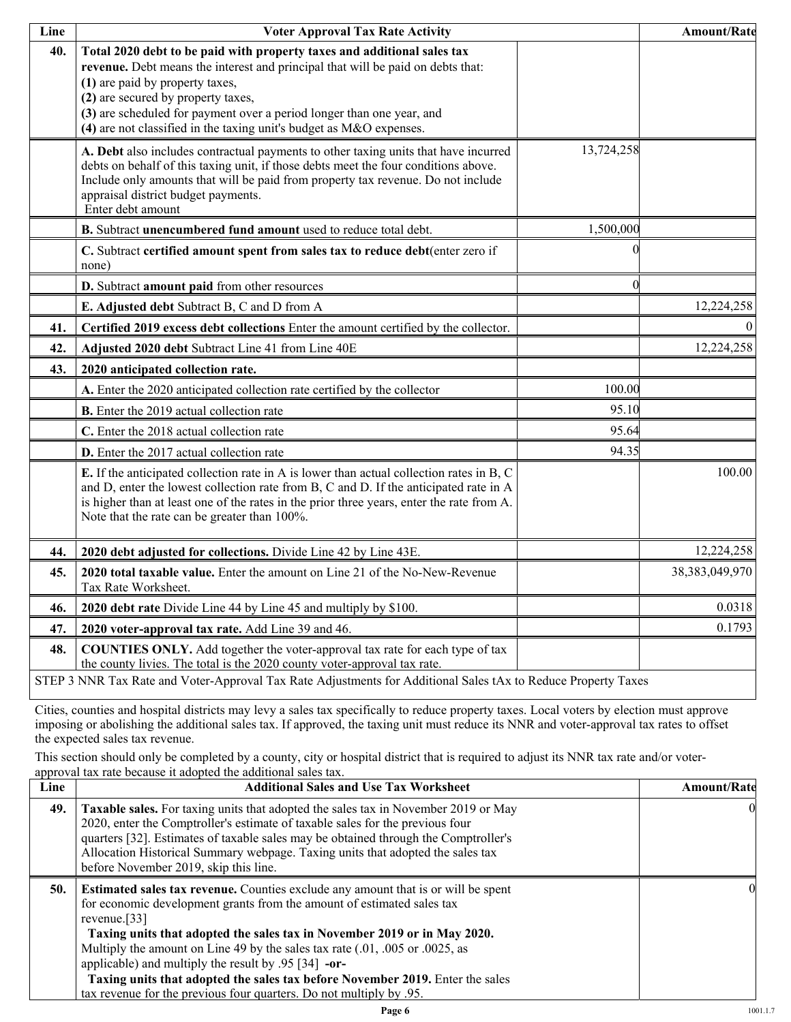| Line | <b>Voter Approval Tax Rate Activity</b>                                                                                                                                                                                                                                                                                                                                             |            | Amount/Rate       |
|------|-------------------------------------------------------------------------------------------------------------------------------------------------------------------------------------------------------------------------------------------------------------------------------------------------------------------------------------------------------------------------------------|------------|-------------------|
| 40.  | Total 2020 debt to be paid with property taxes and additional sales tax<br>revenue. Debt means the interest and principal that will be paid on debts that:<br>(1) are paid by property taxes,<br>(2) are secured by property taxes,<br>(3) are scheduled for payment over a period longer than one year, and<br>(4) are not classified in the taxing unit's budget as M&O expenses. |            |                   |
|      | A. Debt also includes contractual payments to other taxing units that have incurred<br>debts on behalf of this taxing unit, if those debts meet the four conditions above.<br>Include only amounts that will be paid from property tax revenue. Do not include<br>appraisal district budget payments.<br>Enter debt amount                                                          | 13,724,258 |                   |
|      | B. Subtract unencumbered fund amount used to reduce total debt.                                                                                                                                                                                                                                                                                                                     | 1,500,000  |                   |
|      | C. Subtract certified amount spent from sales tax to reduce debt(enter zero if<br>none)                                                                                                                                                                                                                                                                                             |            |                   |
|      | D. Subtract amount paid from other resources                                                                                                                                                                                                                                                                                                                                        |            |                   |
|      | E. Adjusted debt Subtract B, C and D from A                                                                                                                                                                                                                                                                                                                                         |            | 12,224,258        |
| 41.  | Certified 2019 excess debt collections Enter the amount certified by the collector.                                                                                                                                                                                                                                                                                                 |            | $\overline{0}$    |
| 42.  | Adjusted 2020 debt Subtract Line 41 from Line 40E                                                                                                                                                                                                                                                                                                                                   |            | 12,224,258        |
| 43.  | 2020 anticipated collection rate.                                                                                                                                                                                                                                                                                                                                                   |            |                   |
|      | A. Enter the 2020 anticipated collection rate certified by the collector                                                                                                                                                                                                                                                                                                            | 100.00     |                   |
|      | <b>B.</b> Enter the 2019 actual collection rate                                                                                                                                                                                                                                                                                                                                     | 95.10      |                   |
|      | C. Enter the 2018 actual collection rate                                                                                                                                                                                                                                                                                                                                            | 95.64      |                   |
|      | D. Enter the 2017 actual collection rate                                                                                                                                                                                                                                                                                                                                            | 94.35      |                   |
|      | E. If the anticipated collection rate in A is lower than actual collection rates in B, C<br>and D, enter the lowest collection rate from B, C and D. If the anticipated rate in A<br>is higher than at least one of the rates in the prior three years, enter the rate from A.<br>Note that the rate can be greater than 100%.                                                      |            | 100.00            |
| 44.  | 2020 debt adjusted for collections. Divide Line 42 by Line 43E.                                                                                                                                                                                                                                                                                                                     |            | 12,224,258        |
| 45.  | 2020 total taxable value. Enter the amount on Line 21 of the No-New-Revenue<br>Tax Rate Worksheet.                                                                                                                                                                                                                                                                                  |            | 38, 383, 049, 970 |
| 46.  | 2020 debt rate Divide Line 44 by Line 45 and multiply by \$100.                                                                                                                                                                                                                                                                                                                     |            | 0.0318            |
| 47.  | 2020 voter-approval tax rate. Add Line 39 and 46.                                                                                                                                                                                                                                                                                                                                   |            | 0.1793            |
| 48.  | COUNTIES ONLY. Add together the voter-approval tax rate for each type of tax<br>the county livies. The total is the 2020 county voter-approval tax rate.                                                                                                                                                                                                                            |            |                   |
|      | STEP 3 NNR Tax Rate and Voter-Approval Tax Rate Adjustments for Additional Sales tAx to Reduce Property Taxes                                                                                                                                                                                                                                                                       |            |                   |

Cities, counties and hospital districts may levy a sales tax specifically to reduce property taxes. Local voters by election must approve imposing or abolishing the additional sales tax. If approved, the taxing unit must reduce its NNR and voter-approval tax rates to offset the expected sales tax revenue.

This section should only be completed by a county, city or hospital district that is required to adjust its NNR tax rate and/or voterapproval tax rate because it adopted the additional sales tax.

| Line | <b>Additional Sales and Use Tax Worksheet</b>                                                                                                                                                                                                                                                                                                                                                                                                                                                                                                                     | Amount/Rate |
|------|-------------------------------------------------------------------------------------------------------------------------------------------------------------------------------------------------------------------------------------------------------------------------------------------------------------------------------------------------------------------------------------------------------------------------------------------------------------------------------------------------------------------------------------------------------------------|-------------|
| 49.  | Taxable sales. For taxing units that adopted the sales tax in November 2019 or May<br>2020, enter the Comptroller's estimate of taxable sales for the previous four<br>quarters [32]. Estimates of taxable sales may be obtained through the Comptroller's<br>Allocation Historical Summary webpage. Taxing units that adopted the sales tax<br>before November 2019, skip this line.                                                                                                                                                                             |             |
| 50.  | <b>Estimated sales tax revenue.</b> Counties exclude any amount that is or will be spent<br>for economic development grants from the amount of estimated sales tax<br>revenue. $[33]$<br>Taxing units that adopted the sales tax in November 2019 or in May 2020.<br>Multiply the amount on Line 49 by the sales tax rate (.01, .005 or .0025, as<br>applicable) and multiply the result by .95 [34] -or-<br>Taxing units that adopted the sales tax before November 2019. Enter the sales<br>tax revenue for the previous four quarters. Do not multiply by .95. |             |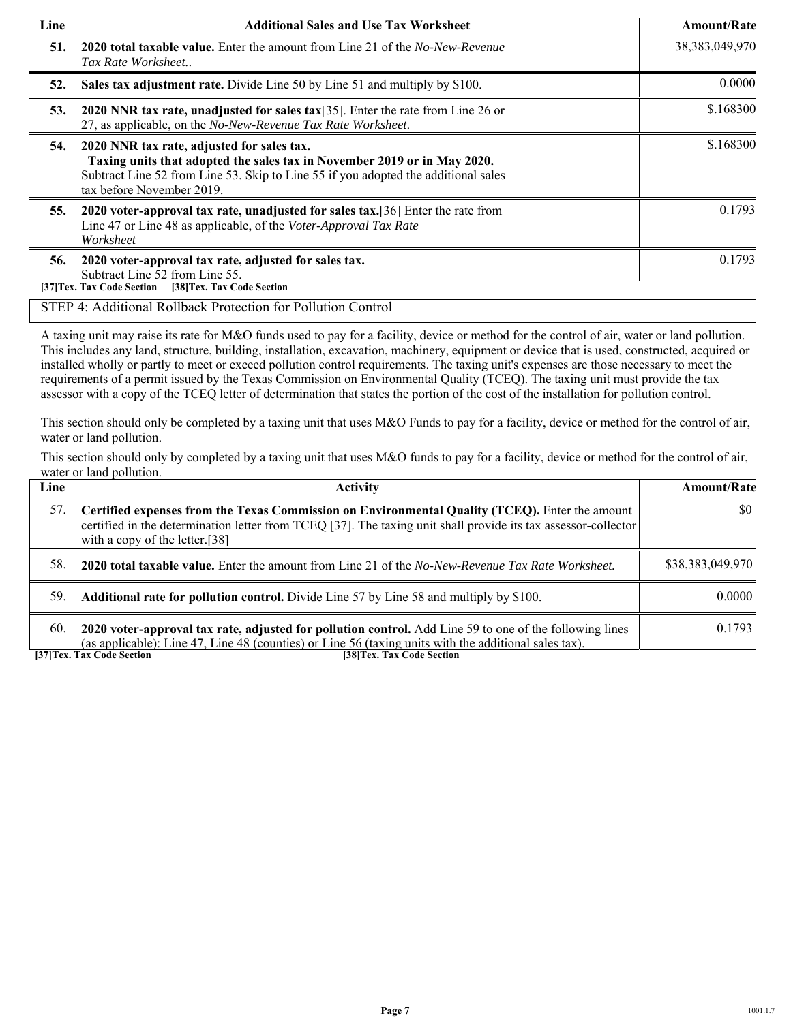| Line | <b>Additional Sales and Use Tax Worksheet</b>                                                                                                                                                                                             | Amount/Rate       |
|------|-------------------------------------------------------------------------------------------------------------------------------------------------------------------------------------------------------------------------------------------|-------------------|
| 51.  | <b>2020 total taxable value.</b> Enter the amount from Line 21 of the <i>No-New-Revenue</i><br>Tax Rate Worksheet                                                                                                                         | 38, 383, 049, 970 |
| 52.  | Sales tax adjustment rate. Divide Line 50 by Line 51 and multiply by \$100.                                                                                                                                                               | 0.0000            |
| 53.  | 2020 NNR tax rate, unadjusted for sales tax $[35]$ . Enter the rate from Line 26 or<br>27, as applicable, on the No-New-Revenue Tax Rate Worksheet.                                                                                       | \$.168300         |
| 54.  | 2020 NNR tax rate, adjusted for sales tax.<br>Taxing units that adopted the sales tax in November 2019 or in May 2020.<br>Subtract Line 52 from Line 53. Skip to Line 55 if you adopted the additional sales<br>tax before November 2019. | \$.168300         |
| 55.  | 2020 voter-approval tax rate, unadjusted for sales tax.[36] Enter the rate from<br>Line 47 or Line 48 as applicable, of the Voter-Approval Tax Rate<br>Worksheet                                                                          | 0.1793            |
| 56.  | 2020 voter-approval tax rate, adjusted for sales tax.<br>Subtract Line 52 from Line 55.<br>[37] Tex. Tax Code Section<br>[38] Tex. Tax Code Section                                                                                       | 0.1793            |
|      | STEP 4: Additional Rollback Protection for Pollution Control                                                                                                                                                                              |                   |

A taxing unit may raise its rate for M&O funds used to pay for a facility, device or method for the control of air, water or land pollution. This includes any land, structure, building, installation, excavation, machinery, equipment or device that is used, constructed, acquired or installed wholly or partly to meet or exceed pollution control requirements. The taxing unit's expenses are those necessary to meet the requirements of a permit issued by the Texas Commission on Environmental Quality (TCEQ). The taxing unit must provide the tax assessor with a copy of the TCEQ letter of determination that states the portion of the cost of the installation for pollution control.

This section should only be completed by a taxing unit that uses M&O Funds to pay for a facility, device or method for the control of air, water or land pollution.

This section should only by completed by a taxing unit that uses M&O funds to pay for a facility, device or method for the control of air, water or land pollution.

| Line | <b>Activity</b>                                                                                                                                                                                                                                    | <b>Amount/Rate</b> |
|------|----------------------------------------------------------------------------------------------------------------------------------------------------------------------------------------------------------------------------------------------------|--------------------|
| 57.  | Certified expenses from the Texas Commission on Environmental Quality (TCEQ). Enter the amount<br>certified in the determination letter from TCEQ [37]. The taxing unit shall provide its tax assessor-collector<br>with a copy of the letter.[38] | \$0                |
| 58.  | <b>2020 total taxable value.</b> Enter the amount from Line 21 of the No-New-Revenue Tax Rate Worksheet.                                                                                                                                           | \$38,383,049,970   |
| 59.  | Additional rate for pollution control. Divide Line 57 by Line 58 and multiply by \$100.                                                                                                                                                            | 0.0000             |
| 60.  | 2020 voter-approval tax rate, adjusted for pollution control. Add Line 59 to one of the following lines<br>(as applicable): Line 47, Line 48 (counties) or Line 56 (taxing units with the additional sales tax).                                   | 0.1793             |

**[37]Tex. Tax Code Section [38]Tex. Tax Code Section**